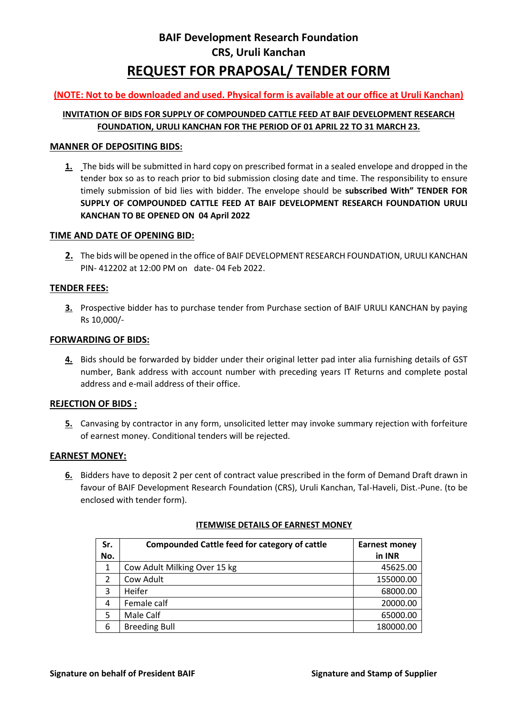# **BAIF Development Research Foundation CRS, Uruli Kanchan REQUEST FOR PRAPOSAL/ TENDER FORM**

# **(NOTE: Not to be downloaded and used. Physical form is available at our office at Uruli Kanchan)**

# **INVITATION OF BIDS FOR SUPPLY OF COMPOUNDED CATTLE FEED AT BAIF DEVELOPMENT RESEARCH FOUNDATION, URULI KANCHAN FOR THE PERIOD OF 01 APRIL 22 TO 31 MARCH 23.**

## **MANNER OF DEPOSITING BIDS:**

**1.** The bids will be submitted in hard copy on prescribed format in a sealed envelope and dropped in the tender box so as to reach prior to bid submission closing date and time. The responsibility to ensure timely submission of bid lies with bidder. The envelope should be **subscribed With" TENDER FOR SUPPLY OF COMPOUNDED CATTLE FEED AT BAIF DEVELOPMENT RESEARCH FOUNDATION URULI KANCHAN TO BE OPENED ON 04 April 2022**

### **TIME AND DATE OF OPENING BID:**

**2.** The bids will be opened in the office of BAIF DEVELOPMENT RESEARCH FOUNDATION, URULI KANCHAN PIN- 412202 at 12:00 PM on date- 04 Feb 2022.

### **TENDER FEES:**

**3.** Prospective bidder has to purchase tender from Purchase section of BAIF URULI KANCHAN by paying Rs 10,000/-

#### **FORWARDING OF BIDS:**

**4.** Bids should be forwarded by bidder under their original letter pad inter alia furnishing details of GST number, Bank address with account number with preceding years IT Returns and complete postal address and e-mail address of their office.

### **REJECTION OF BIDS :**

**5.** Canvasing by contractor in any form, unsolicited letter may invoke summary rejection with forfeiture of earnest money. Conditional tenders will be rejected.

### **EARNEST MONEY:**

**6.** Bidders have to deposit 2 per cent of contract value prescribed in the form of Demand Draft drawn in favour of BAIF Development Research Foundation (CRS), Uruli Kanchan, Tal-Haveli, Dist.-Pune. (to be enclosed with tender form).

| Sr.<br>No. | Compounded Cattle feed for category of cattle | <b>Earnest money</b><br>in INR |
|------------|-----------------------------------------------|--------------------------------|
|            |                                               |                                |
| 1          | Cow Adult Milking Over 15 kg                  | 45625.00                       |
| 2          | Cow Adult                                     | 155000.00                      |
| 3          | Heifer                                        | 68000.00                       |
| 4          | Female calf                                   | 20000.00                       |
| 5          | Male Calf                                     | 65000.00                       |
| 6          | <b>Breeding Bull</b>                          | 180000.00                      |

### **ITEMWISE DETAILS OF EARNEST MONEY**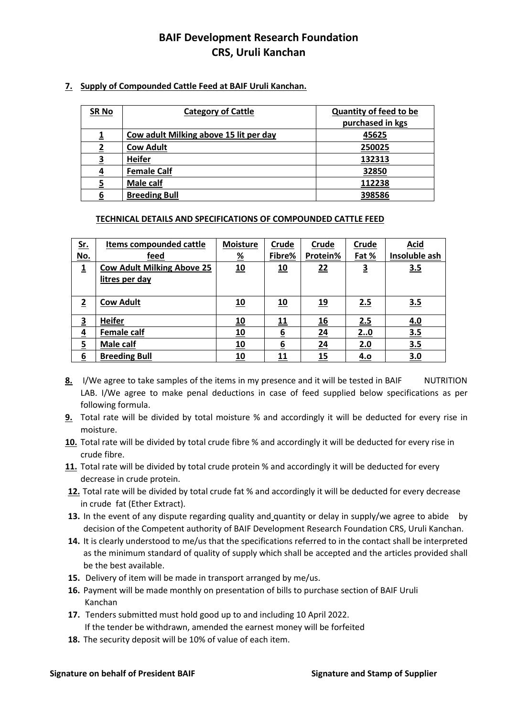# **7. Supply of Compounded Cattle Feed at BAIF Uruli Kanchan.**

| <b>SR No</b> | <b>Category of Cattle</b>              | <b>Quantity of feed to be</b> |
|--------------|----------------------------------------|-------------------------------|
|              |                                        | purchased in kgs              |
|              | Cow adult Milking above 15 lit per day | 45625                         |
|              | <b>Cow Adult</b>                       | 250025                        |
| 3            | <b>Heifer</b>                          | 132313                        |
| 4            | <b>Female Calf</b>                     | 32850                         |
|              | Male calf                              | 112238                        |
| 6            | <b>Breeding Bull</b>                   | 398586                        |

# **TECHNICAL DETAILS AND SPECIFICATIONS OF COMPOUNDED CATTLE FEED**

| <u>Sr.</u>              | <b>Items compounded cattle</b>    | <b>Moisture</b> | Crude           | Crude      | Crude                   | <b>Acid</b>   |
|-------------------------|-----------------------------------|-----------------|-----------------|------------|-------------------------|---------------|
| <u>No.</u>              | feed                              | <u>%</u>        | Fibre%          | Protein%   | Fat %                   | Insoluble ash |
| $\overline{\mathbf{1}}$ | <b>Cow Adult Milking Above 25</b> | 10              | 10              | 22         | $\overline{\mathbf{3}}$ | 3.5           |
|                         | litres per day                    |                 |                 |            |                         |               |
|                         |                                   |                 |                 |            |                         |               |
| $\overline{2}$          | <b>Cow Adult</b>                  | 10              | 10              | <u>19</u>  | 2.5                     | 3.5           |
|                         |                                   |                 |                 |            |                         |               |
| $\overline{\mathbf{3}}$ | <b>Heifer</b>                     | 10              | 11              | <u> 16</u> | 2.5                     | 4.0           |
| $\overline{4}$          | <b>Female calf</b>                | 10              | 6               | 24         | 20                      | 3.5           |
| $\overline{5}$          | Male calf                         | 10              | $6\overline{6}$ | 24         | 2.0                     | 3.5           |
| 6                       | <b>Breeding Bull</b>              | 10              | 11              | 15         | 4.0                     | 3.0           |

- 8. I/We agree to take samples of the items in my presence and it will be tested in BAIF NUTRITION LAB. I/We agree to make penal deductions in case of feed supplied below specifications as per following formula.
- **9.** Total rate will be divided by total moisture % and accordingly it will be deducted for every rise in moisture.
- **10.** Total rate will be divided by total crude fibre % and accordingly it will be deducted for every rise in crude fibre.
- **11.** Total rate will be divided by total crude protein % and accordingly it will be deducted for every decrease in crude protein.
- **12.** Total rate will be divided by total crude fat % and accordingly it will be deducted for every decrease in crude fat (Ether Extract).
- 13. In the event of any dispute regarding quality and quantity or delay in supply/we agree to abide by decision of the Competent authority of BAIF Development Research Foundation CRS, Uruli Kanchan.
- **14.** It is clearly understood to me/us that the specifications referred to in the contact shall be interpreted as the minimum standard of quality of supply which shall be accepted and the articles provided shall be the best available.
- **15.** Delivery of item will be made in transport arranged by me/us.
- **16.** Payment will be made monthly on presentation of bills to purchase section of BAIF Uruli Kanchan
- **17.** Tenders submitted must hold good up to and including 10 April 2022. If the tender be withdrawn, amended the earnest money will be forfeited
- **18.** The security deposit will be 10% of value of each item.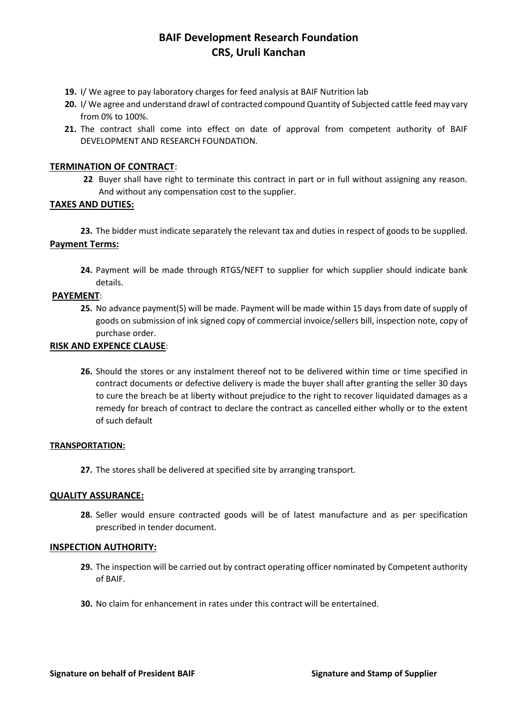- **19.** I/ We agree to pay laboratory charges for feed analysis at BAIF Nutrition lab
- **20.** I/ We agree and understand drawl of contracted compound Quantity of Subjected cattle feed may vary from 0% to 100%.
- **21.** The contract shall come into effect on date of approval from competent authority of BAIF DEVELOPMENT AND RESEARCH FOUNDATION.

## **TERMINATION OF CONTRACT**:

**22** Buyer shall have right to terminate this contract in part or in full without assigning any reason. And without any compensation cost to the supplier.

## **TAXES AND DUTIES:**

**23.** The bidder must indicate separately the relevant tax and duties in respect of goods to be supplied. **Payment Terms:**

**24.** Payment will be made through RTGS/NEFT to supplier for which supplier should indicate bank details.

### **PAYEMENT**:

**25.** No advance payment(S) will be made. Payment will be made within 15 days from date of supply of goods on submission of ink signed copy of commercial invoice/sellers bill, inspection note, copy of purchase order.

### **RISK AND EXPENCE CLAUSE**:

**26.** Should the stores or any instalment thereof not to be delivered within time or time specified in contract documents or defective delivery is made the buyer shall after granting the seller 30 days to cure the breach be at liberty without prejudice to the right to recover liquidated damages as a remedy for breach of contract to declare the contract as cancelled either wholly or to the extent of such default

### **TRANSPORTATION:**

**27.** The stores shall be delivered at specified site by arranging transport.

### **QUALITY ASSURANCE:**

**28.** Seller would ensure contracted goods will be of latest manufacture and as per specification prescribed in tender document.

### **INSPECTION AUTHORITY:**

- **29.** The inspection will be carried out by contract operating officer nominated by Competent authority of BAIF.
- **30.** No claim for enhancement in rates under this contract will be entertained.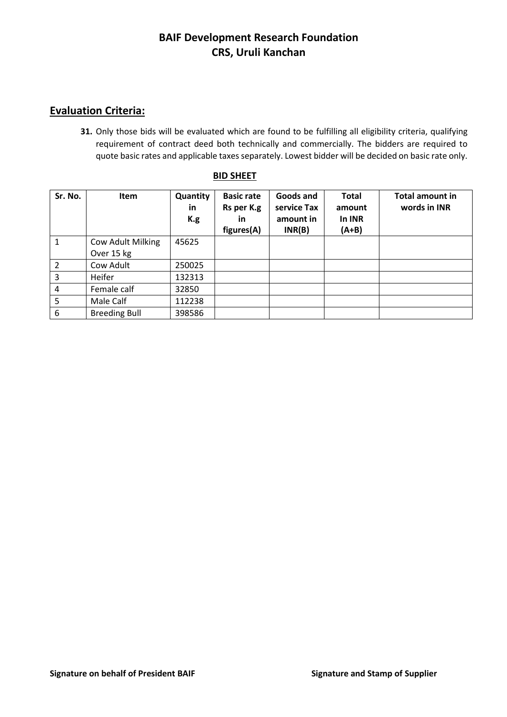# **Evaluation Criteria:**

**31.** Only those bids will be evaluated which are found to be fulfilling all eligibility criteria, qualifying requirement of contract deed both technically and commercially. The bidders are required to quote basic rates and applicable taxes separately. Lowest bidder will be decided on basic rate only.

| Sr. No.        | <b>Item</b>                     | Quantity<br>in<br>K.g | <b>Basic rate</b><br>Rs per K.g<br><u>in</u><br>figures(A) | Goods and<br>service Tax<br>amount in<br>INR(B) | <b>Total</b><br>amount<br>In INR<br>$(A+B)$ | <b>Total amount in</b><br>words in INR |
|----------------|---------------------------------|-----------------------|------------------------------------------------------------|-------------------------------------------------|---------------------------------------------|----------------------------------------|
| $\mathbf{1}$   | Cow Adult Milking<br>Over 15 kg | 45625                 |                                                            |                                                 |                                             |                                        |
| $\overline{2}$ | Cow Adult                       | 250025                |                                                            |                                                 |                                             |                                        |
| 3              | Heifer                          | 132313                |                                                            |                                                 |                                             |                                        |
| 4              | Female calf                     | 32850                 |                                                            |                                                 |                                             |                                        |
| 5              | Male Calf                       | 112238                |                                                            |                                                 |                                             |                                        |
| 6              | <b>Breeding Bull</b>            | 398586                |                                                            |                                                 |                                             |                                        |

## **BID SHEET**